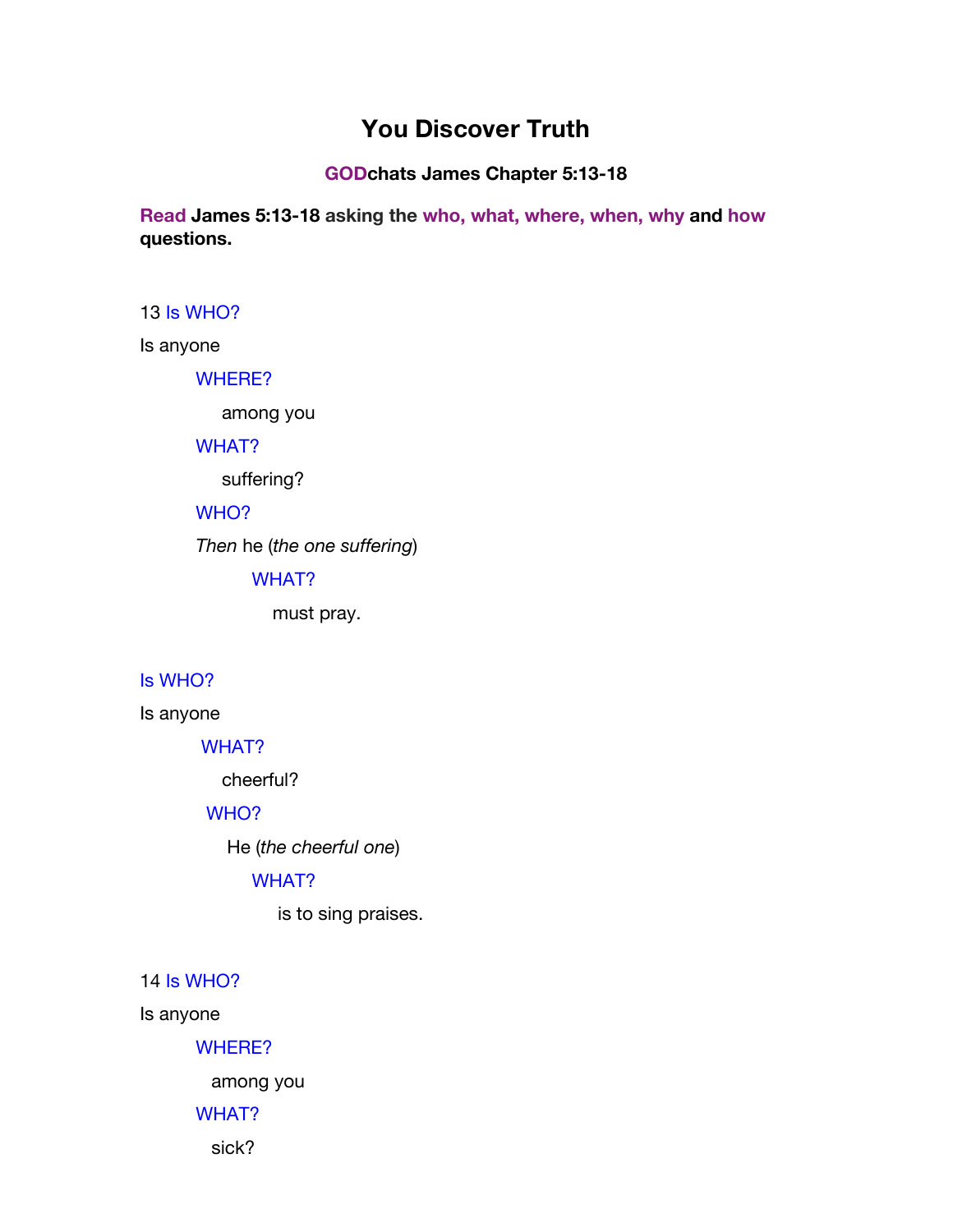# **You Discover Truth**

**GODchats James Chapter 5:13-18**

**Read James 5:13-18 asking the who, what, where, when, why and how questions.** 

13 Is WHO?

Is anyone

WHERE?

among you

#### WHAT?

suffering?

### WHO?

*Then* he (*the one suffering*)

WHAT?

must pray.

### Is WHO?

Is anyone

WHAT?

cheerful?

#### WHO?

He (*the cheerful one*)

# WHAT?

is to sing praises.

### 14 Is WHO?

Is anyone

WHERE?

among you

## WHAT?

sick?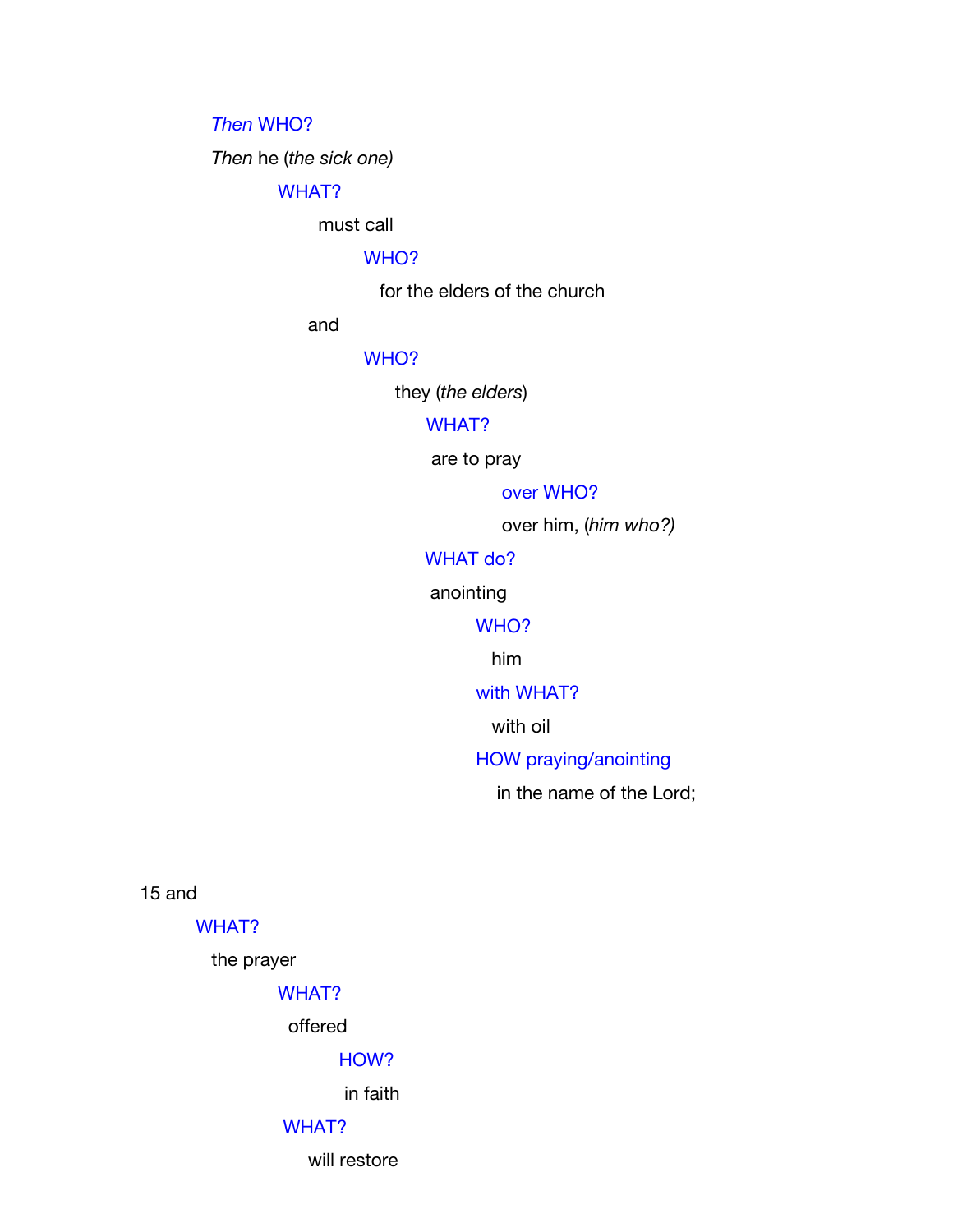*Then* WHO?

*Then* he (*the sick one)*

WHAT?

must call

WHO?

for the elders of the church

and

WHO?

they (*the elders*)

#### WHAT?

are to pray

over WHO?

over him, (*him who?)*

# WHAT do?

anointing

WHO?

him

with WHAT?

with oil

HOW praying/anointing

in the name of the Lord;

15 and

#### WHAT?

the prayer

### WHAT?

offered

## HOW?

in faith

# WHAT?

will restore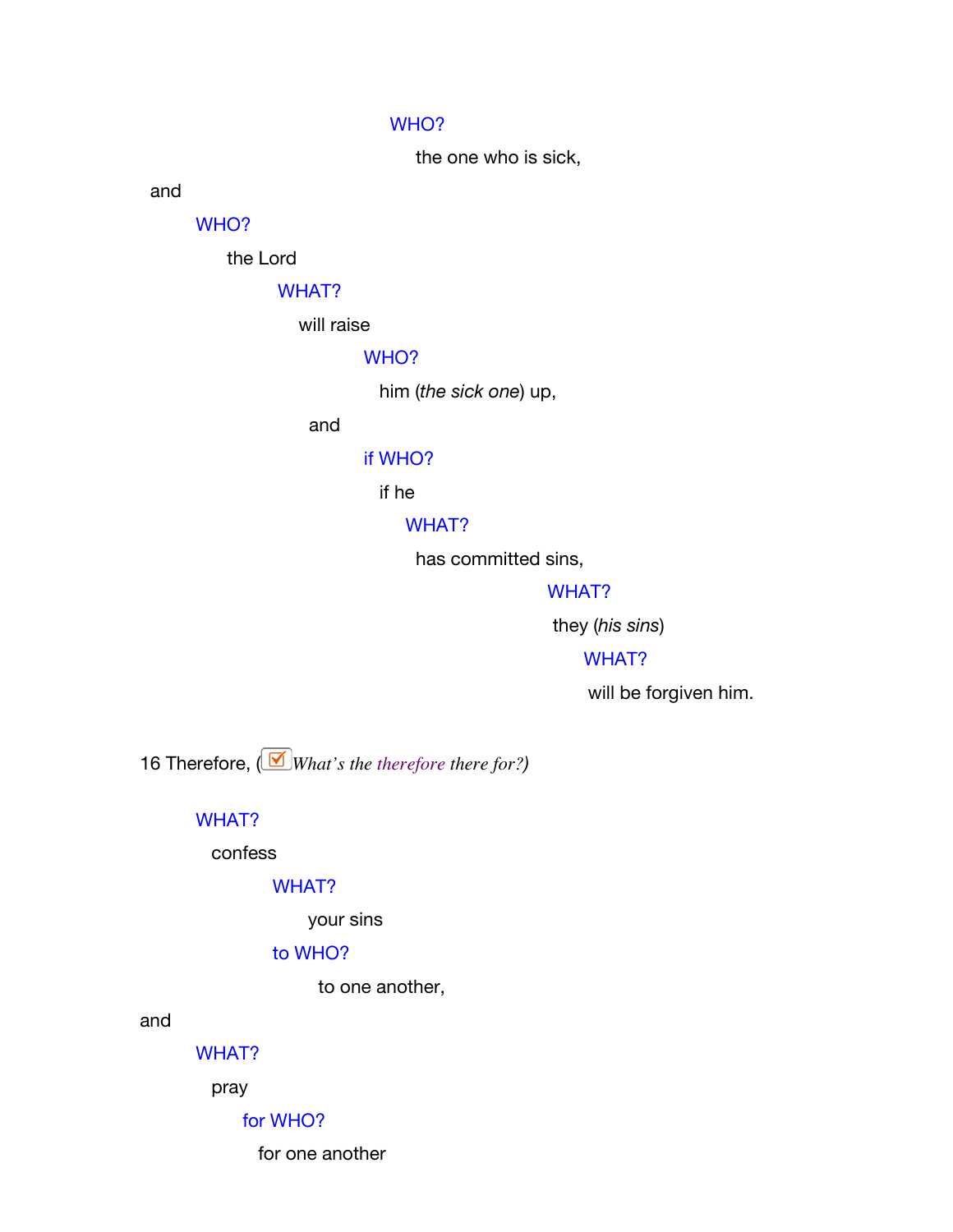### WHO?

the one who is sick,

and

WHO?

the Lord

### WHAT?

will raise

# WHO?

him (*the sick one*) up,

#### and

#### if WHO?

if he

### WHAT?

has committed sins,

# WHAT?

they (*his sins*)

#### WHAT?

will be forgiven him.

16 Therefore, ( *What's the therefore there for?)*

#### WHAT?

confess

## WHAT?

your sins

### to WHO?

to one another,

and

#### WHAT?

pray

#### for WHO?

for one another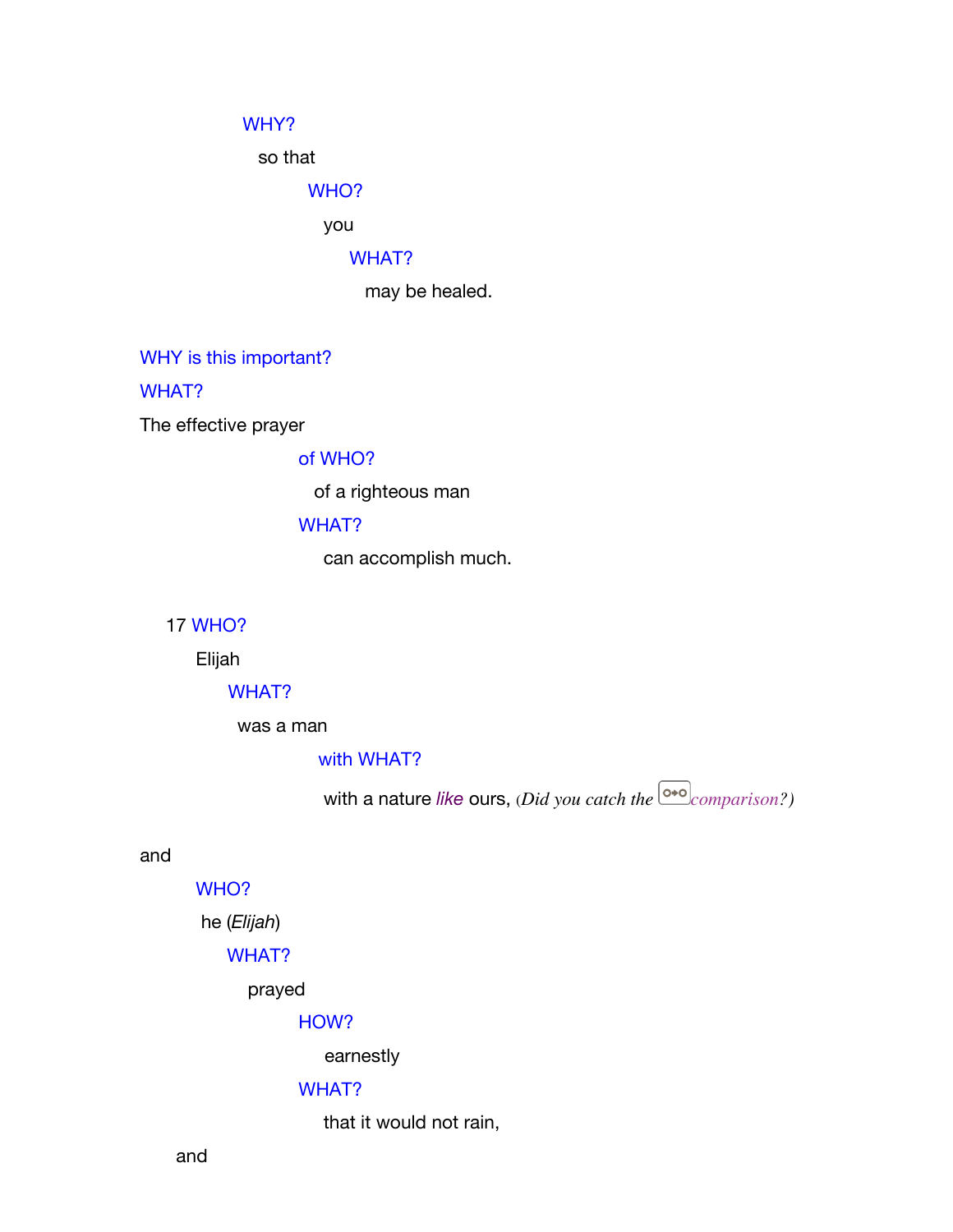## WHY?

so that

WHO?

you

## WHAT?

may be healed.

WHY is this important?

WHAT?

The effective prayer

of WHO?

of a righteous man

# WHAT?

can accomplish much.

17 WHO?

Elijah

WHAT?

was a man

with WHAT?

with a nature *like* ours, (*Did you catch the* <sup>o\*o</sup> *comparison?*)

and

#### WHO?

he (*Elijah*)

#### WHAT?

prayed

### HOW?

earnestly

# WHAT?

that it would not rain,

and